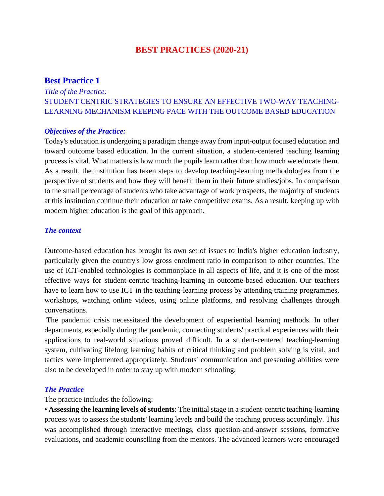## **BEST PRACTICES (2020-21)**

### **Best Practice 1**

# *Title of the Practice:* STUDENT CENTRIC STRATEGIES TO ENSURE AN EFFECTIVE TWO-WAY TEACHING-LEARNING MECHANISM KEEPING PACE WITH THE OUTCOME BASED EDUCATION

#### *Objectives of the Practice:*

Today's education is undergoing a paradigm change away from input-output focused education and toward outcome based education. In the current situation, a student-centered teaching learning process is vital. What matters is how much the pupils learn rather than how much we educate them. As a result, the institution has taken steps to develop teaching-learning methodologies from the perspective of students and how they will benefit them in their future studies/jobs. In comparison to the small percentage of students who take advantage of work prospects, the majority of students at this institution continue their education or take competitive exams. As a result, keeping up with modern higher education is the goal of this approach.

### *The context*

Outcome-based education has brought its own set of issues to India's higher education industry, particularly given the country's low gross enrolment ratio in comparison to other countries. The use of ICT-enabled technologies is commonplace in all aspects of life, and it is one of the most effective ways for student-centric teaching-learning in outcome-based education. Our teachers have to learn how to use ICT in the teaching-learning process by attending training programmes, workshops, watching online videos, using online platforms, and resolving challenges through conversations.

The pandemic crisis necessitated the development of experiential learning methods. In other departments, especially during the pandemic, connecting students' practical experiences with their applications to real-world situations proved difficult. In a student-centered teaching-learning system, cultivating lifelong learning habits of critical thinking and problem solving is vital, and tactics were implemented appropriately. Students' communication and presenting abilities were also to be developed in order to stay up with modern schooling.

### *The Practice*

The practice includes the following:

• **Assessing the learning levels of students**: The initial stage in a student-centric teaching-learning process was to assess the students' learning levels and build the teaching process accordingly. This was accomplished through interactive meetings, class question-and-answer sessions, formative evaluations, and academic counselling from the mentors. The advanced learners were encouraged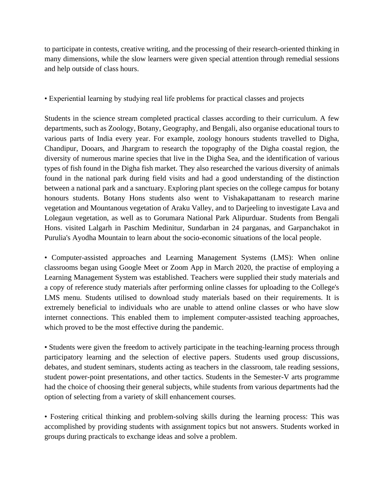to participate in contests, creative writing, and the processing of their research-oriented thinking in many dimensions, while the slow learners were given special attention through remedial sessions and help outside of class hours.

### • Experiential learning by studying real life problems for practical classes and projects

Students in the science stream completed practical classes according to their curriculum. A few departments, such as Zoology, Botany, Geography, and Bengali, also organise educational tours to various parts of India every year. For example, zoology honours students travelled to Digha, Chandipur, Dooars, and Jhargram to research the topography of the Digha coastal region, the diversity of numerous marine species that live in the Digha Sea, and the identification of various types of fish found in the Digha fish market. They also researched the various diversity of animals found in the national park during field visits and had a good understanding of the distinction between a national park and a sanctuary. Exploring plant species on the college campus for botany honours students. Botany Hons students also went to Vishakapattanam to research marine vegetation and Mountanous vegetation of Araku Valley, and to Darjeeling to investigate Lava and Lolegaun vegetation, as well as to Gorumara National Park Alipurduar. Students from Bengali Hons. visited Lalgarh in Paschim Medinitur, Sundarban in 24 parganas, and Garpanchakot in Purulia's Ayodha Mountain to learn about the socio-economic situations of the local people.

• Computer-assisted approaches and Learning Management Systems (LMS): When online classrooms began using Google Meet or Zoom App in March 2020, the practise of employing a Learning Management System was established. Teachers were supplied their study materials and a copy of reference study materials after performing online classes for uploading to the College's LMS menu. Students utilised to download study materials based on their requirements. It is extremely beneficial to individuals who are unable to attend online classes or who have slow internet connections. This enabled them to implement computer-assisted teaching approaches, which proved to be the most effective during the pandemic.

• Students were given the freedom to actively participate in the teaching-learning process through participatory learning and the selection of elective papers. Students used group discussions, debates, and student seminars, students acting as teachers in the classroom, tale reading sessions, student power-point presentations, and other tactics. Students in the Semester-V arts programme had the choice of choosing their general subjects, while students from various departments had the option of selecting from a variety of skill enhancement courses.

• Fostering critical thinking and problem-solving skills during the learning process: This was accomplished by providing students with assignment topics but not answers. Students worked in groups during practicals to exchange ideas and solve a problem.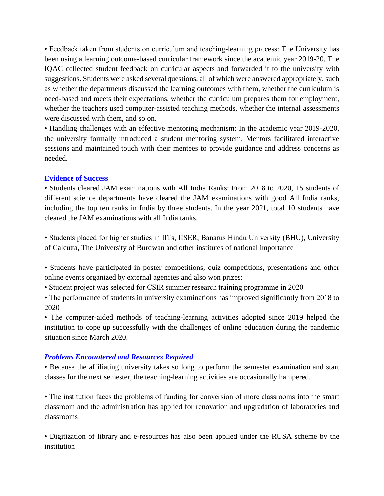• Feedback taken from students on curriculum and teaching-learning process: The University has been using a learning outcome-based curricular framework since the academic year 2019-20. The IQAC collected student feedback on curricular aspects and forwarded it to the university with suggestions. Students were asked several questions, all of which were answered appropriately, such as whether the departments discussed the learning outcomes with them, whether the curriculum is need-based and meets their expectations, whether the curriculum prepares them for employment, whether the teachers used computer-assisted teaching methods, whether the internal assessments were discussed with them, and so on.

• Handling challenges with an effective mentoring mechanism: In the academic year 2019-2020, the university formally introduced a student mentoring system. Mentors facilitated interactive sessions and maintained touch with their mentees to provide guidance and address concerns as needed.

### **Evidence of Success**

• Students cleared JAM examinations with All India Ranks: From 2018 to 2020, 15 students of different science departments have cleared the JAM examinations with good All India ranks, including the top ten ranks in India by three students. In the year 2021, total 10 students have cleared the JAM examinations with all India tanks.

• Students placed for higher studies in IITs, IISER, Banarus Hindu University (BHU), University of Calcutta, The University of Burdwan and other institutes of national importance

- Students have participated in poster competitions, quiz competitions, presentations and other online events organized by external agencies and also won prizes:
- Student project was selected for CSIR summer research training programme in 2020
- The performance of students in university examinations has improved significantly from 2018 to 2020

• The computer-aided methods of teaching-learning activities adopted since 2019 helped the institution to cope up successfully with the challenges of online education during the pandemic situation since March 2020.

## *Problems Encountered and Resources Required*

• Because the affiliating university takes so long to perform the semester examination and start classes for the next semester, the teaching-learning activities are occasionally hampered.

• The institution faces the problems of funding for conversion of more classrooms into the smart classroom and the administration has applied for renovation and upgradation of laboratories and classrooms

• Digitization of library and e-resources has also been applied under the RUSA scheme by the institution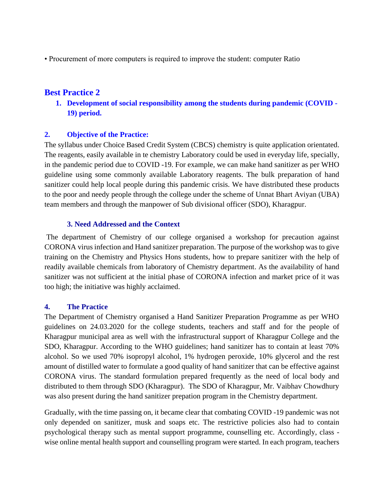• Procurement of more computers is required to improve the student: computer Ratio

# **Best Practice 2**

**1. Development of social responsibility among the students during pandemic (COVID - 19) period.** 

### **2. Objective of the Practice:**

The syllabus under Choice Based Credit System (CBCS) chemistry is quite application orientated. The reagents, easily available in te chemistry Laboratory could be used in everyday life, specially, in the pandemic period due to COVID -19. For example, we can make hand sanitizer as per WHO guideline using some commonly available Laboratory reagents. The bulk preparation of hand sanitizer could help local people during this pandemic crisis. We have distributed these products to the poor and needy people through the college under the scheme of Unnat Bhart Aviyan (UBA) team members and through the manpower of Sub divisional officer (SDO), Kharagpur.

### **3. Need Addressed and the Context**

The department of Chemistry of our college organised a workshop for precaution against CORONA virus infection and Hand sanitizer preparation. The purpose of the workshop was to give training on the Chemistry and Physics Hons students, how to prepare sanitizer with the help of readily available chemicals from laboratory of Chemistry department. As the availability of hand sanitizer was not sufficient at the initial phase of CORONA infection and market price of it was too high; the initiative was highly acclaimed.

### **4. The Practice**

The Department of Chemistry organised a Hand Sanitizer Preparation Programme as per WHO guidelines on 24.03.2020 for the college students, teachers and staff and for the people of Kharagpur municipal area as well with the infrastructural support of Kharagpur College and the SDO, Kharagpur. According to the WHO guidelines; hand sanitizer has to contain at least 70% alcohol. So we used 70% isopropyl alcohol, 1% hydrogen peroxide, 10% glycerol and the rest amount of distilled water to formulate a good quality of hand sanitizer that can be effective against CORONA virus. The standard formulation prepared frequently as the need of local body and distributed to them through SDO (Kharagpur). The SDO of Kharagpur, Mr. Vaibhav Chowdhury was also present during the hand sanitizer prepation program in the Chemistry department.

Gradually, with the time passing on, it became clear that combating COVID -19 pandemic was not only depended on sanitizer, musk and soaps etc. The restrictive policies also had to contain psychological therapy such as mental support programme, counselling etc. Accordingly, class wise online mental health support and counselling program were started. In each program, teachers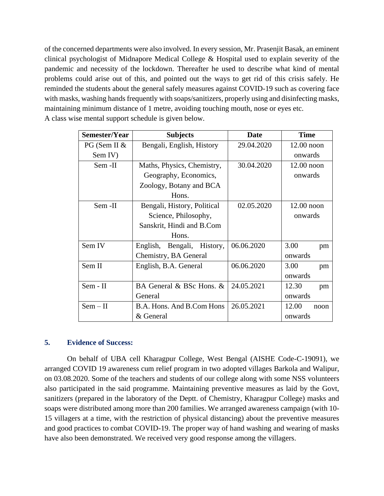of the concerned departments were also involved. In every session, Mr. Prasenjit Basak, an eminent clinical psychologist of Midnapore Medical College & Hospital used to explain severity of the pandemic and necessity of the lockdown. Thereafter he used to describe what kind of mental problems could arise out of this, and pointed out the ways to get rid of this crisis safely. He reminded the students about the general safely measures against COVID-19 such as covering face with masks, washing hands frequently with soaps/sanitizers, properly using and disinfecting masks, maintaining minimum distance of 1 metre, avoiding touching mouth, nose or eyes etc. A class wise mental support schedule is given below.

| Semester/Year | <b>Subjects</b>               | <b>Date</b> | <b>Time</b>   |
|---------------|-------------------------------|-------------|---------------|
| PG (Sem II &  | Bengali, English, History     | 29.04.2020  | $12.00$ noon  |
| Sem IV)       |                               |             | onwards       |
| Sem -II       | Maths, Physics, Chemistry,    | 30.04.2020  | $12.00$ noon  |
|               | Geography, Economics,         |             | onwards       |
|               | Zoology, Botany and BCA       |             |               |
|               | Hons.                         |             |               |
| Sem -II       | Bengali, History, Political   | 02.05.2020  | $12.00$ noon  |
|               | Science, Philosophy,          |             | onwards       |
|               | Sanskrit, Hindi and B.Com     |             |               |
|               | Hons.                         |             |               |
| Sem IV        | Bengali, History,<br>English, | 06.06.2020  | 3.00<br>pm    |
|               | Chemistry, BA General         |             | onwards       |
| Sem II        | English, B.A. General         | 06.06.2020  | 3.00<br>pm    |
|               |                               |             | onwards       |
| Sem - II      | BA General & BSc Hons. &      | 24.05.2021  | 12.30<br>pm   |
|               | General                       |             | onwards       |
| $Sem - II$    | B.A. Hons. And B.Com Hons     | 26.05.2021  | 12.00<br>noon |
|               | & General                     |             | onwards       |

### **5. Evidence of Success:**

On behalf of UBA cell Kharagpur College, West Bengal (AISHE Code-C-19091), we arranged COVID 19 awareness cum relief program in two adopted villages Barkola and Walipur, on 03.08.2020. Some of the teachers and students of our college along with some NSS volunteers also participated in the said programme. Maintaining preventive measures as laid by the Govt, sanitizers (prepared in the laboratory of the Deptt. of Chemistry, Kharagpur College) masks and soaps were distributed among more than 200 families. We arranged awareness campaign (with 10- 15 villagers at a time, with the restriction of physical distancing) about the preventive measures and good practices to combat COVID-19. The proper way of hand washing and wearing of masks have also been demonstrated. We received very good response among the villagers.